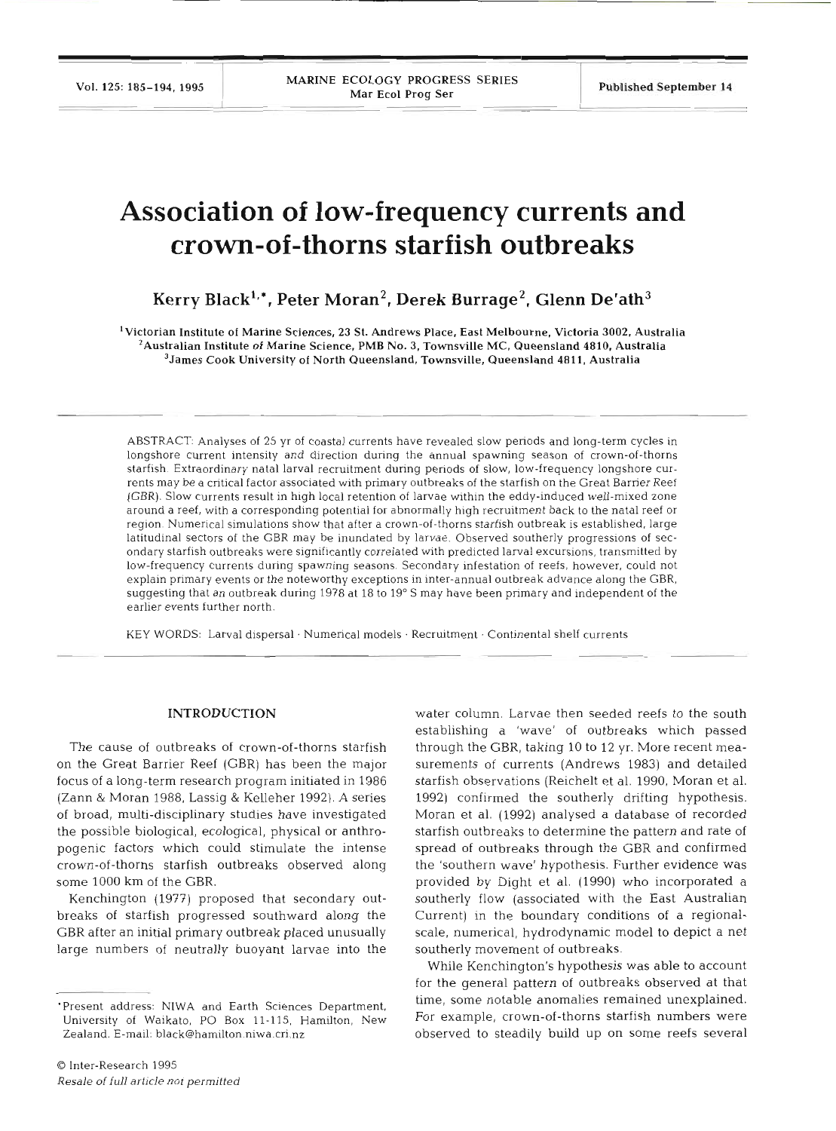# **Association of low-frequency currents and crown-of-thorns starfish outbreaks**

Kerry Black<sup>1,\*</sup>, Peter Moran<sup>2</sup>, Derek Burrage<sup>2</sup>, Glenn De'ath<sup>3</sup>

'Victorian Institute of Marine Sciences, **23** St. Andrews Place, East Melbourne, Victoria **3002,** Australia <sup>2</sup> Australian Institute of Marine Science, PMB No. 3, Townsville MC, Queensland 4810, Australia <sup>3</sup> James Cook University of North Queensland, Townsville, Queensland 4811, Australia

ABSTRACT: Analyses of 25 yr of coastal currents have revealed slow periods and long-term cycles in longshore current intensity and direction during the annual spawning season of crown-of-thorns starfish. Extraordinary natal larval recruitment during periods of slow, low-frequency longshore currents may be a critical factor associated with primary outbreaks of the starfish on the Great Barrier Reef (GBR). Slow currents result in high local retention of larvae within the eddy-induced well-mixed zone around a reef, with a corresponding potential for abnormally high recruitment back to the natal reef or region. Numerical simulations show that after a crown-of-thorns starfish outbreak is established, large latitudinal sectors of the GBR may be inundated by larvae. Observed southerly progressions of secondary starfish outbreaks were significantly correlated with predicted larval excursions, transmitted by low-frequency currents during spawning seasons. Secondary infestation of reefs, however, could not explain primary events or the noteworthy exceptions in inter-annual outbreak advance along the GBR, suggesting that an outbreak during 1978 at 18 to 19' S may have been primary and independent of the earlier events further north.

KEY WORDS: Larval dispersal · Numerical models · Recruitment · Continental shelf currents

### **INTRODUCTIO**

The cause of outbreaks of crown-of-thorns starfish on the Great Barrier Reef (GBR) has been the major focus of a long-term research program initiated in 1986 (Zann & Moran 1988, Lassig & Kelleher 1992). A series of broad, multi-disciplinary studies have investigated the possible biological, ecological, physical or anthropogenic factors which could stimulate the intense crown-of-thorns starfish outbreaks observed along some 1000 km of the GBR.

Kenchington (1977) proposed that secondary outbreaks of starfish progressed southward along the GBR after an initial primary outbreak placed unusually large numbers of neutrally buoyant larvae into the

Q Inter-Research 1995 Resale *of full* article *not* permitted water column. Larvae then seeded reefs to the so establishing a 'wave' of outbreaks which passed through the GBR, taking 10 to 12 yr. More recent measurements of currents (Andrews 1983) and detailed starfish observations (Reichelt et al. 1990, Moran et al. 1992) confirmed the southerly drifting hypothesis. Moran et al. (1992) analysed a database of recorded starfish outbreaks to determine the pattern and rate of spread of outbreaks through the GBR and confirmed the 'southern wave' hypothesis. Further evidence was provided by Dight et al. (1990) who incorporated a southerly flow (associated with the East Australian Current) in the boundary conditions of a regionalscale, numerical, hydrodynamic model to depict a net southerly movement of outbreaks.

While Kenchington's hypothesis was able to account for the general pattern of outbreaks observed at that time, some notable anomalies remained unexplained. For example, crown-of-thorns starfish numbers were observed to steadily build up on some reefs several

<sup>&#</sup>x27;Present address: NlWA and Earth Sciences Department. University of Waikato, PO Box 11-115, Hamilton, New Zealand. E-mail: black@hamilton.niwa.cri.nz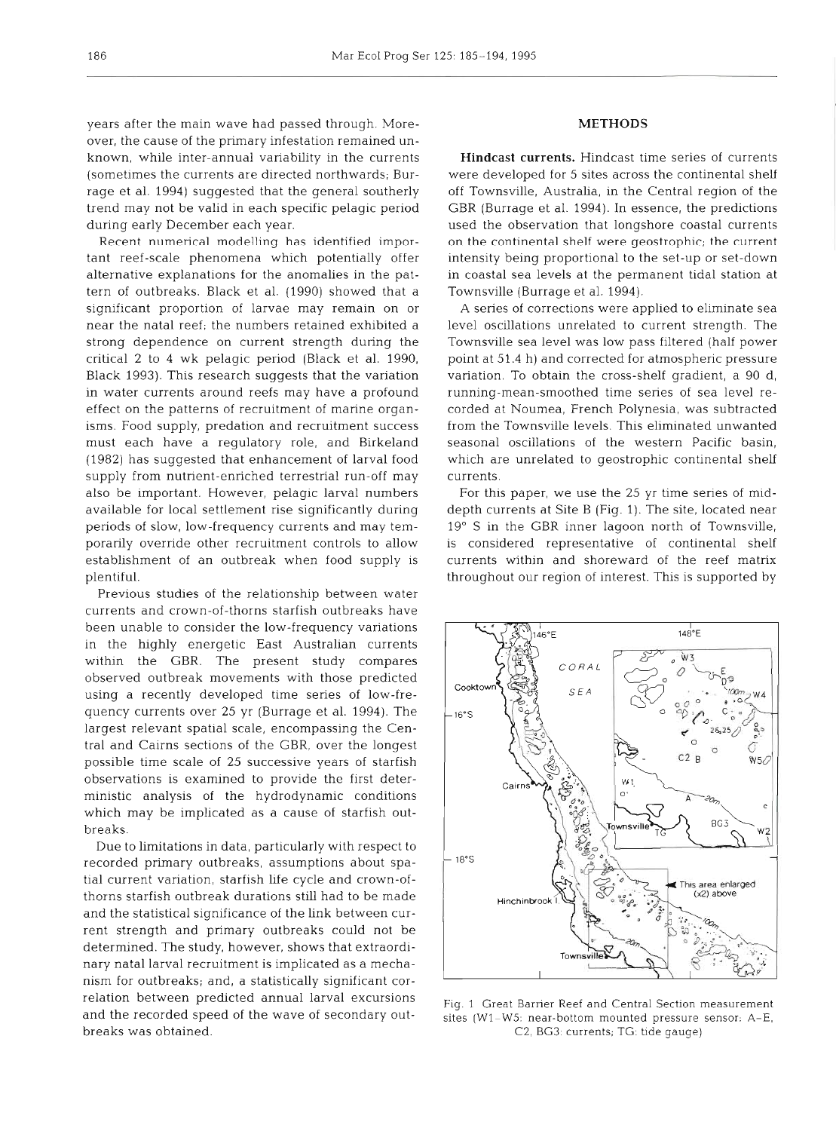years after the main wave had passed through. Moreover, the cause of the primary infestation remained unknown, while inter-annual variability in the currents (sometimes the currents are directed northwards; Burrage et al. 1994) suggested that the general southerly trend may not be valid in each specific pelagic period during early December each year.

Recent numerical modelling has identified important reef-scale phenomena which potentially offer alternative explanations for the anomalies in the pattern of outbreaks. Black et al. (1990) showed that a significant proportion of larvae may remain on or near the natal reef; the numbers retained exhibited a strong dependence on current strength during the critical 2 to 4 wk pelagic period (Black et al. 1990, Black 1993). This research suggests that the variation in water currents around reefs may have a profound effect on the patterns of recruitment of marine organisms. Food supply, predation and recruitment success must each have a regulatory role, and Birkeland (1982) has suggested that enhancement of larval food supply from nutrient-enriched terrestrial run-off may also be important. However, pelagic larval numbers available for local settlement rise significantly during periods of slow, low-frequency currents and may temporarily override other recruitment controls to allow establishment of an outbreak when food supply is plentiful.

Previous studies of the relationship between water currents and crown-of-thorns starfish outbreaks have been unable to consider the low-frequency variations in the highly energetic East Australian currents within the GBR. The present study compares observed outbreak movements with those predicted using a recently developed time series of low-frequency currents over 25 yr (Burrage et al. 1994). The largest relevant spatial scale, encompassing the Central and Cairns sections of the GBR, over the longest possible time scale of 25 successive years of starfish observations is examined to provide the first deterministic analysis of the hydrodynamic conditions which may be implicated as a cause of starfish outbreaks.

Due to limitations in data, particularly with respect to recorded primary outbreaks, assumptions about spatial current variation, starfish life cycle and crown-ofthorns starfish outbreak durations still had to be made and the statistical significance of the link between current strength and primary outbreaks could not be determined. The study, however, shows that extraordinary natal larval recruitment is implicated as a mechanism for outbreaks; and, a statistically significant correlation between predicted annual larval excursions and the recorded speed of the wave of secondary outbreaks was obtained.

# **METHODS**

**Hindcast currents.** Hindcast time series of currents were developed for 5 sites across the continental shelf off Townsville, Australia, in the Central region of the GBR (Burrage et al. 1994). In essence, the predictions used the observation that longshore coastal currents on the continental shelf were geostrophic; the current intensity being proportional to the set-up or set-down in coastal sea levels at the permanent tidal station at Townsville (Burrage et al. 1994).

A series of corrections were applied to eliminate sea level oscillations unrelated to current strength. The Townsville sea level was low pass filtered (half power point at 51.4 h) and corrected for atmospheric pressure variation. To obtain the cross-shelf gradient, a 90 d, running-mean-smoothed time series of sea level recorded at Noumea, French Polynesia, was subtracted from the Townsville levels. This eliminated unwanted seasonal oscillations of the western Pacific basin, which are unrelated to geostrophic continental shelf currents.

For this paper, we use the 25 yr time series of middepth currents at Site B (Fig. 1). The site, located near 19" S in the GBR inner lagoon north of Townsville, is considered representative of continental shelf currents within and shoreward of the reef matrix throughout our region of interest. This is supported by



Fig. 1 Great Barrier Reef and Central Section measurement sites (W1-W5: near-bottom mounted pressure sensor:  $A-E$ , C2, BG3: currents; TG: tide gauge)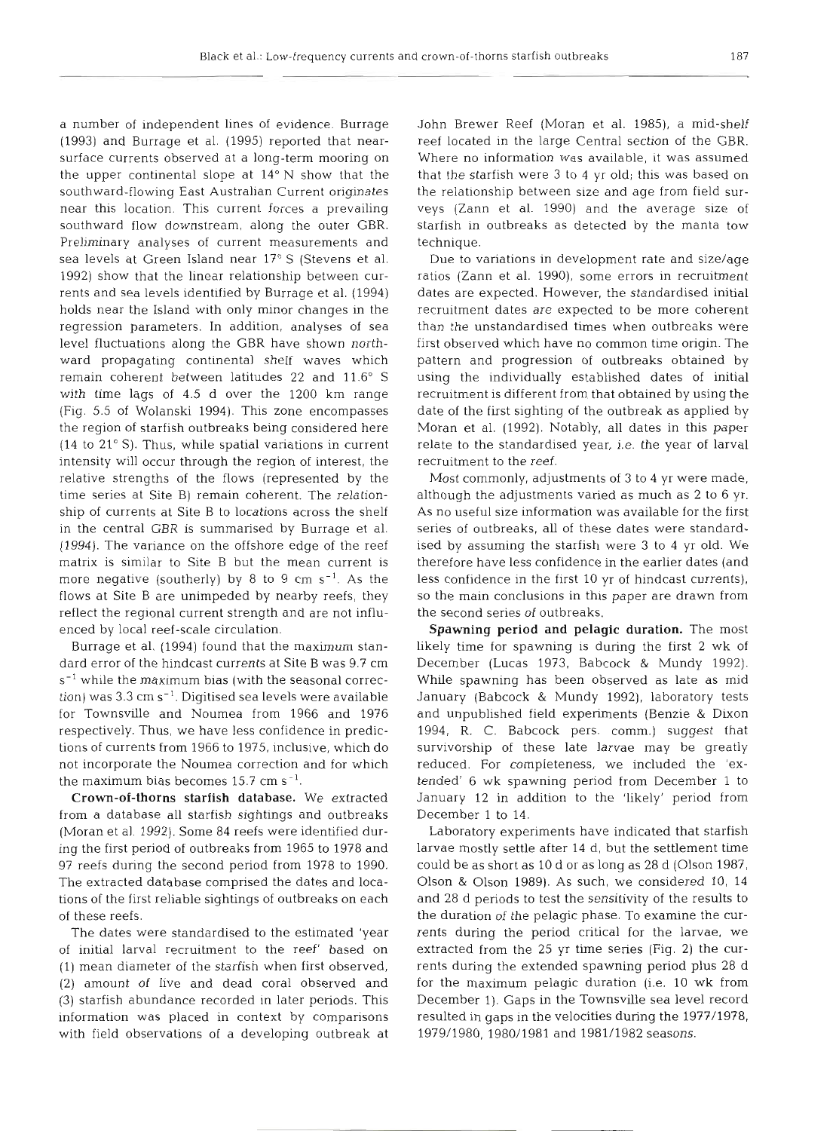a number of independent lines of evidence. Burrage (1993) and Burrage et al. (1995) reported that nearsurface currents observed at a long-term mooring on the upper continental slope at  $14^{\circ}$  N show that the southward-flowing East Australian Current originates near this location. This current forces a prevailing southward flow downstream, along the outer GBR. Preliminary analyses of current measurements and sea levels at Green Island near 17° S (Stevens et al. 1992) show that the linear relationship between currents and sea levels identified by Burrage et al. (1994) holds near the Island with only minor changes in the regression parameters. In addition, analyses of sea level fluctuations along the GBR have shown northward propagating continental shelf waves which remain coherent between latitudes 22 and 11.6" S with time lags of 4.5 d over the 1200 km range (Fig. 5.5 of Wolanski 1994). This zone encompasses the region of starfish outbreaks being considered here (14 to 21" S). Thus, while spatial variations in current intensity will occur through the region of interest, the relative strengths of the flows (represented by the time series at Site B) remain coherent. The relationship of currents at Site B to locations across the shelf in the central GBR is summarised by Burrage et al. (1994). The variance on the offshore edge of the reef matrix is similar to Site B but the mean current is more negative (southerly) by 8 to 9 cm  $s^{-1}$ . As the flows at Site B are unimpeded by nearby reefs, they reflect the regional current strength and are not influenced by local reef-scale circulation.

Burrage et al. (1994) found that the maximum standard error of the hindcast currents at Site B was 9.7 cm  $s^{-1}$  while the maximum bias (with the seasonal correction) was  $3.3 \text{ cm s}^{-1}$ . Digitised sea levels were available for Townsville and Noumea from 1966 and 19 respectively. Thus, we have less confidence in predictions of currents from 1966 to 1975, inclusive, which do not incorporate the Noumea correction and for which the maximum bias becomes  $15.7 \; \mathrm{cm} \; \mathrm{s}$ 

Crown-of-thorns starfish database. We extracted from a database all starfish sightings and outbreaks (Moran et al. 1992). Some 84 reefs were identified during the first period of outbreaks from 1965 to 1978 and 97 reefs during the second period from 1978 to 1990. The extracted database comprised the dates and locations of the first reliable sightings of outbreaks on each of these reefs.

The dates were standardised to the estimated 'year of initial larval recruitment to the reef' based (1) mean diameter of the starfish when first observed, (2) amount of live and dead coral observed and (3) starfish abundance recorded in later periods. This information was placed in context by comparisons with field observations of a developing outbreak at John Brewer Reef (Moran et al. 1985), a mid-shelf reef located in the large Central section of the GBR. Where no information was available, it was assumed that the starfish were 3 to 4 yr old; this was based on the relationship between size and age from field surveys (Zann et al. 1990) and the average size of starfish in outbreaks as detected by the manta tow technique.

Due to variations in development rate and size/age ratios (Zann et al. 1990), some errors in recruitment dates are expected. However, the standardised initial recruitment dates are expected to be more coherent than the unstandardised times when outbreaks were first observed which have no common time origin. The pattern and progression of outbreaks obtained by using the individually established dates of initial recruitment is different from that obtained by using the date of the first sighting of the outbreak as applied by Moran et al. (1992). Notably, all dates in this paper relate to the standardised year, i.e. the year of larval recruitment to the reef.

Most commonly, adjustments of 3 to 4 yr were made, although the adjustments varied as much as 2 to 6 yr. As no useful size information was available for the first series of outbreaks, all of these dates were standardised by assuming the starfish were 3 to 4 yr old. We therefore have less confidence in the earlier dates (and less confidence in the first 10 yr of hindcast currents), so the main conclusions in this paper are drawn from the second series of outbreaks.

Spawning period and pelagic duration. The most likely time for spawning is during the first 2 wk of December (Lucas 1973, Babcock & Mundy 1992). While spawning has been observed as late as mid January (Babcock & Mundy 1992), laboratory tests and unpublished field experiments (Benzie & Dixon 1994, R. C. Babcock pers. comm.) suggest that survivorship of these late larvae may be greatly reduced. For completeness, we included the 'extended' 6 wk spawning period from December 1 to January 12 in addition to the 'likely' period from December 1 to

Laboratory experiments have indicated that starfish larvae mostly settle after 14 d, but the settlement time could be as short as 10 d or as long as 28 d (Olson 1987, Olson & Olson 1989). As such, we considered 10, 14 and 28 d periods to test the sensitivity of the results to the duration of the pelagic phase. To examine the currents during the period critical for the larvae, we extracted from the 25 yr time series (Fig. 2) the currents during the extended spawning period plus 28 d for the maximum pelagic duration (i.e. 10 wk from December 1). Gaps in the Townsville sea level record resulted in gaps in the velocities during the 1977/1978, 1979/1980, 1980/1981 and 1981/1982 seasons.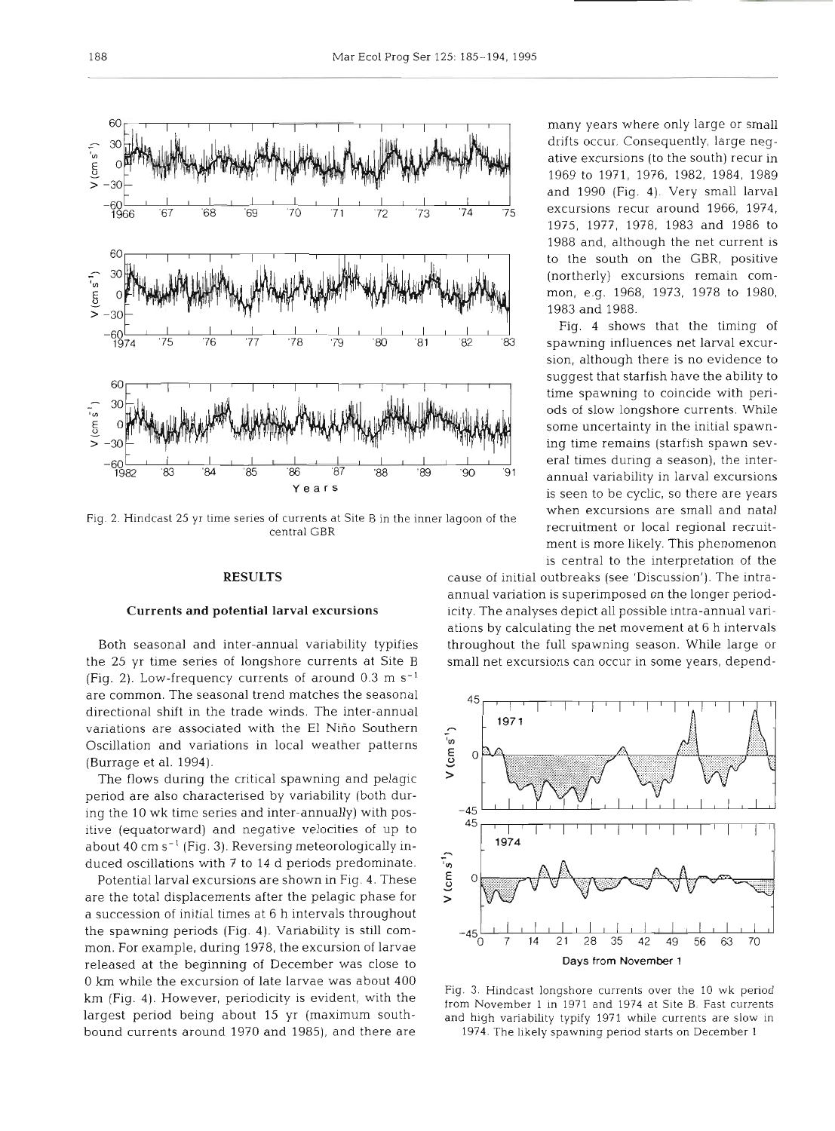

when excursions are small and natal Fig. 2. Hindcast 25 yr time series of currents at Site **B** in the inner lagoon of the central **GBR** recruitment or local regional recruit-

RESULTS<br>Currents and potential larval excursions<br>Both seasonal and inter-annual variability typifies<br>the 25 yr time series of longshore currents at Site B (Fig. 2). Low-frequency currents of around  $0.3 \text{ m s}^{-1}$ are common. The seasonal trend matches the seasonal directional shift in the trade winds. The inter-annual variations are associated with the El Niño Southern<br>Oscillation and variations in local weather patterns<br>(Burrage et al. 1994).<br>The flows during the critical spawning and pelagic Oscillation and variations in local weather patterns (Burrage et al. 1994).

The flows during the critical spawning and pelagic period are also characterised by variability (both during the 10 wk time series and inter-annually) with positive (equatorward) and negative velocities of up to about  $40 \text{ cm s}^{-1}$  (Fig. 3). Reversing meteorologically in-

duced oscillations with 7 to 14 d periods predominate.<br>Potential larval excursions are shown in Fig. 4. These<br>are the total displacements after the pelagic phase for Potential larval excursions are shown in Fig. **4.** These are the total displacements after the pelagic phase for a succession of initial times at 6 h intervals throughout the spawning periods (Fig. **4).** Variability is still common. For example, during 1978, the excursion of larvae released at the beginning of December was close to 0 km while the excursion of late larvae was about 400 km (Fig. **4).** However, periodicity is evident, with the largest period being about 15 yr (maximum southbound currents around 1970 and 1985), and there are

many years where only large or small ative excursions (to the south) recur in 1969 to 1971, 1976, 1982, 1984, 1989 and 1990 (Fig. 4). Very small larval 1975, 1977, 1978, 1983 and 1986 to 1988 and, although the net current is to the south on the GBR, positive (northerly) excursions remain common, e.g. 1968, 1973, 1978 to 1980, 1983 and 1988.

sion, although there is no evidence to suggest that starfish have the ability to<br>time spawning to coincide with periods of slow longshore currents. While some uncertainty in the initial spawning time remains (starfish spawn sevis seen to be cyclic, so there are years ment is more likely. This phenomenon is central to the interpretation of the

cause of initial outbreaks (see 'Discussion'). The intraannual variation is superimposed on the longer periodicity. The analyses depict all possible intra-annual variations by calculating the net movement at 6 h intervals throughout the full spawning season. While large or small net excursions can occur in some years, depend-



Fig. **3.** Hindcast longshore currents over the 10 wk period from November 1 in 1971 and 1974 at Site B. Fast currents and high variability typify 1971 whlle currents are slow in 1974. The likely spawning penod starts on December 1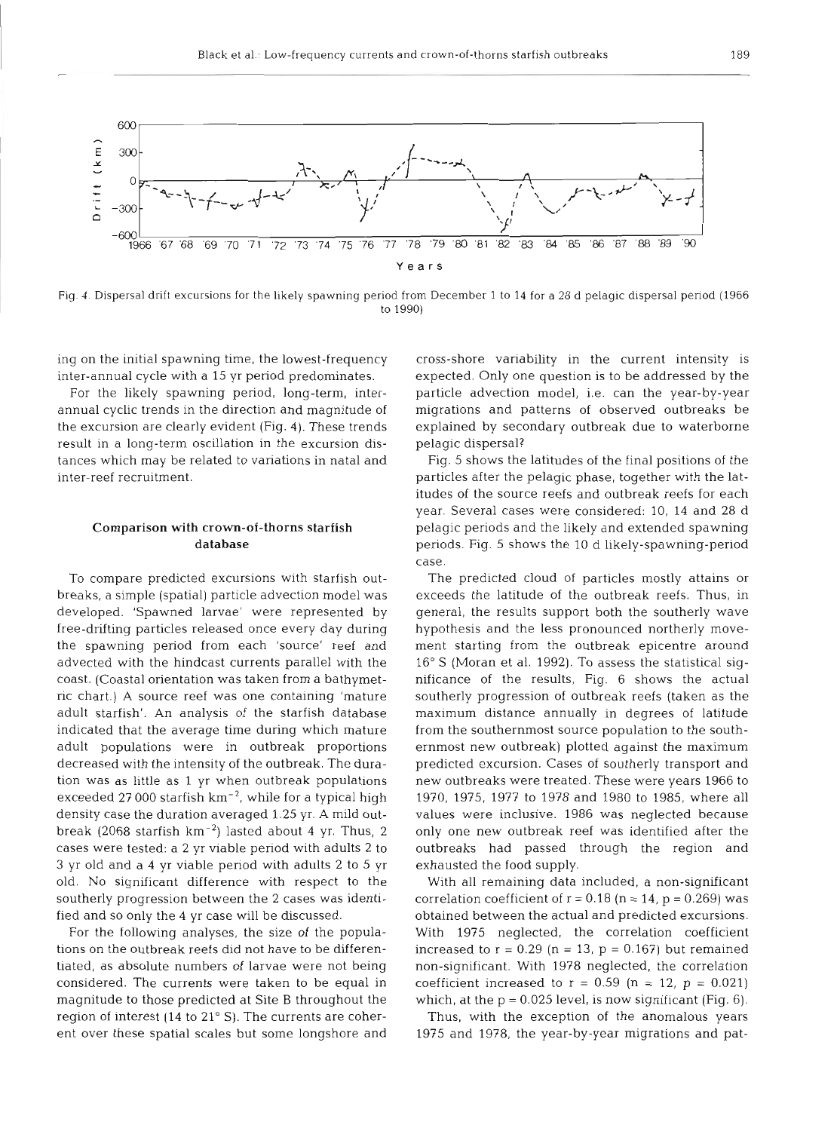

Fig. 4. Dispersal drift excursions for the likely spawning period from December 1 to 14 for a 28 d pelagic dispersal period (1966 to 1990)

ing on the initial spawning time, the lowest-frequency inter-annual cycle with a 15 yr period predominates.

For the likely spawning period, long-term, interannual cyclic trends in the direction and magnitude of the excursion are clearly evident (Fig. 4). These trends result in a long-term oscillation in the excursion distances which may be related to variations in natal and inter-reef recruitment.

# Comparison with crown-of-thorns starfish database

To compare predicted excursions with starfish outbreaks, a simple (spatial) particle advection model was developed. 'Spawned larvae' were represented by free-drifting particles released once every day during the spawning period from each 'source' reef and advected with the hindcast currents parallel with the coast. (Coastal orientation was taken from a bathymetric chart.) A source reef was one containing 'mature adult starfish'. An analysis of the starfish database indicated that the average time during which mature adult populations were in outbreak proportions decreased with the intensity of the outbreak. The duration was as little as 1 yr when outbreak populations exceeded 27 000 starfish  $km^{-2}$ , while for a typical high density case the duration averaged 1.25 yr. A mild outbreak (2068 starfish  $km^{-2}$ ) lasted about 4 yr. Thus, 2 cases were tested: a 2 yr viable period with adults 2 to **3** yr old and a 4 yr viable period with adults 2 to 5 yr old. No significant difference with respect to the southerly progression between the 2 cases was identified and so only the 4 yr case will be discussed.

For the following analyses, the size of the populations on the outbreak reefs did not have to be differentiated, as absolute numbers of larvae were not being considered. The currents were taken to be equal in magnitude to those predicted at Site B throughout the region of interest (14 to 21" S). The currents are coherent over these spatial scales but some longshore and cross-shore variability in the current intensity is expected. Only one question is to be addressed by the particle advection model, i.e. can the year-by-year migrations and patterns of observed outbreaks be explained by secondary outbreak due to waterborne pelagic dispersal?

Fig. 5 shows the latitudes of the final positions of the particles after the pelagic phase, together with the latitudes of the source reefs and outbreak reefs for each year. Several cases were considered: 10, 14 and 28 d pelagic periods and the likely and extended spawning periods. Fig. 5 shows the 10 d likely-spawning-period case.

The predicted cloud of particles mostly attains or exceeds the latitude of the outbreak reefs. Thus, in general, the results support both the southerly wave hypothesis and the less pronounced northerly movement starting from the outbreak epicentre around 16" S (Moran et al. 1992). To assess the statistical significance of the results, Fig. 6 shows the actual southerly progression of outbreak reefs (taken as the maximum distance annually in degrees of latitude from the southernmost source population to the southernmost new outbreak) plotted against the maximum predicted excursion. Cases of southerly transport and new outbreaks were treated. These were years 1966 to 1970, 1975, 1977 to 1978 and 1980 to 1985, where all values were inclusive. 1986 was neglected because only one new outbreak reef was identified after the outbreaks had passed through the region and exhausted the food supply.

With all remaining data included, a non-significant correlation coefficient of  $r = 0.18$  (n = 14, p = 0.269) was obtained between the actual and predicted excursions. With 1975 neglected, the correlation coefficient increased to  $r = 0.29$  (n = 13, p = 0.167) but remained non-significant. With 1978 neglected, the correlation coefficient increased to  $r = 0.59$  (n = 12, p = 0.021) which, at the  $p = 0.025$  level, is now significant (Fig. 6).

Thus, with the exception of the anomalous years 1975 and 1978, the year-by-year migrations and pat-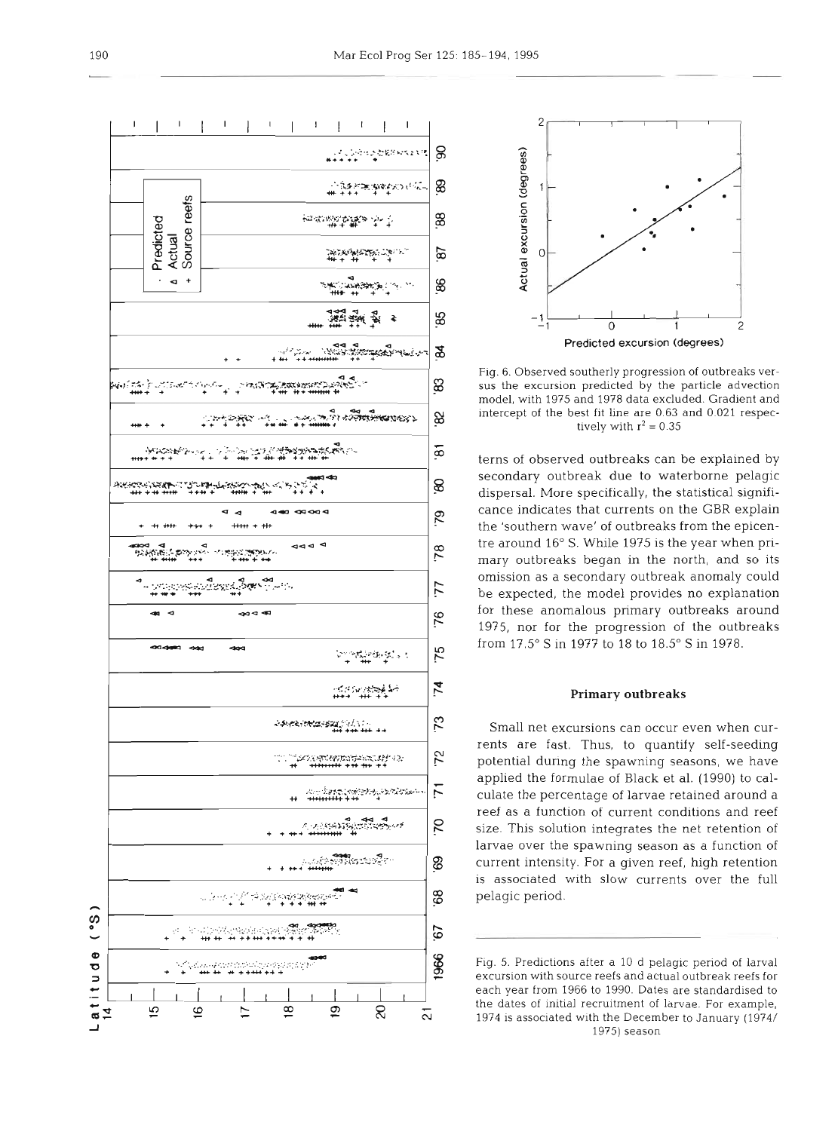



Fig. 6. Observed southerly progression of outbreaks versus the excursion predicted by the particle advection model, with 1975 and 1978 data excluded. Gradient and intercept of the best fit line are 0.63 and 0.021 respectively with  $r^2 = 0.35$ 

terns of observed outbreaks can be explained by secondary outbreak due to waterborne pelagic dispersal. More specifically, the statistical significance indicates that currents on the GBR explain the 'southern wave' of outbreaks from the epicentre around 16" S. While 1975 is the year when primary outbreaks began in the north, and so its omission as a secondary outbreak anomaly could be expected, the model provides no explanation for these anomalous primary outbreaks around 1975, nor for the progression of the outbreaks from 17.5" S in 1977 to 18 to 18.5" S in 1978.

# **Primary outbreaks**

Small net excursions can occur even when currents are fast. Thus, to quantify self-seeding potential during the spawning seasons, we have applied the formulae of Black et al. (1990) to calculate the percentage of larvae retained around a reef as a function of current conditions and reef size. This solution integrates the net retention of larvae over the spawning season as a function of current intensity. For a given reef, high retention is associated with slow currents over the full pelagic period.

Fig. *5.* Predictions after a 10 d pelagic period of larval excursion with source reefs and actual outbreak reefs for each year from 1966 to 1990. Dates are standardised to the dates of initial recruitment of larvae. For example. 1974 is associated wlth the December to January (1974/ 1975) season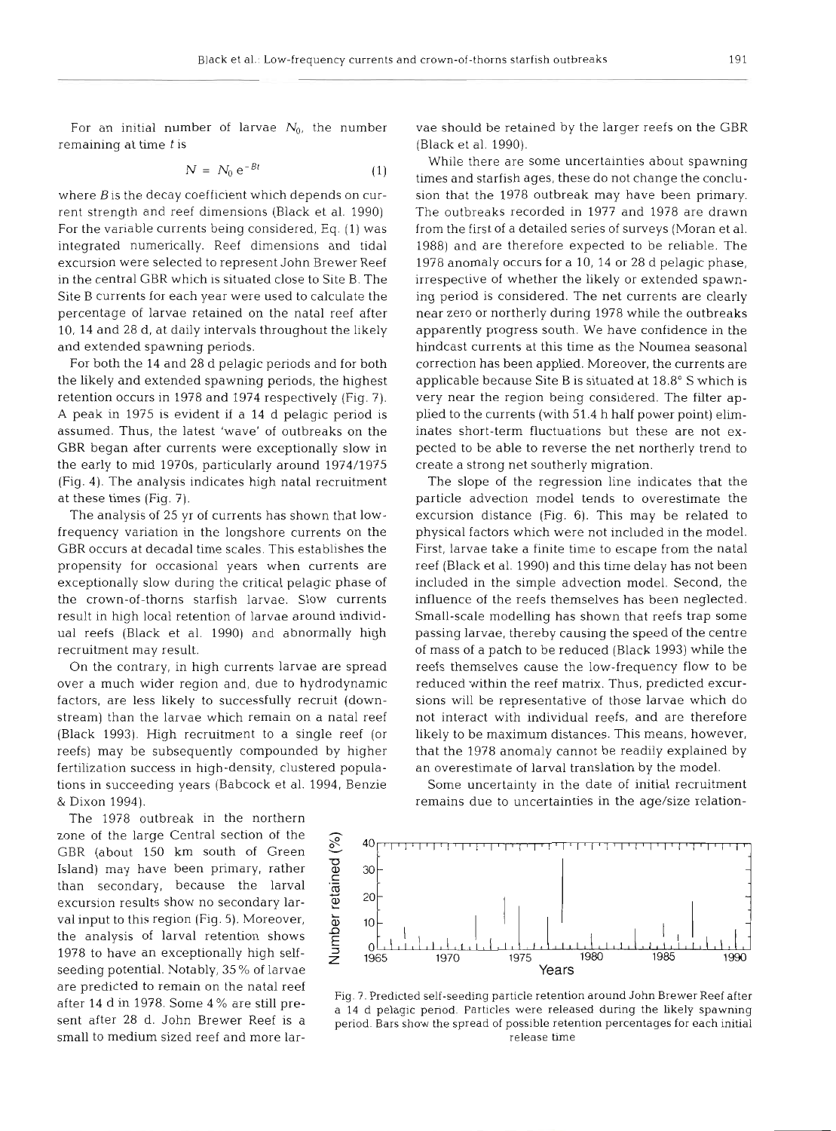For an initial number of larvae  $N_0$ , the number remaining at time *t* is

$$
N = N_0 e^{-Bt} \tag{1}
$$

where  $B$  is the decay coefficient which depends on current strength and reef dimensions (Black et al. 1990) For the variable currents being considered, Eq. (1) was integrated numerically. Reef dimensions and tidal excursion were selected to represent John Brewer Reef in the central GBR which is situated close to Site B. The Site B currents for each year were used to calculate the percentage of larvae retained on the natal reef after 10, 14 and 28 d, at daily intervals throughout the likely and extended spawning periods.

For both the 14 and 28 d pelagic periods and for both the likely and extended spawning periods, the highest retention occurs in 1978 and 1974 respectively (Fig. 7). **A** peak in 1975 is evident if a 14 d pelagic period is assumed. Thus, the latest 'wave' of outbreaks on the GBR began after currents were exceptionally slow in the early to mid 1970s, particularly around 1974/1975 (Fig. 4). The analysis indicates high natal recruitment at these times (Fig. 7).

The analysis of 25 yr of currents has shown that lowfrequency variation in the longshore currents on the GBR occurs at decadal time scales. This establishes propensity for occasional years when currents are exceptionally slow during the critical pelagic phase of the crown-of-thorns starfish larvae. Slow curre result in high local retention of larvae around individual reefs (Black et al. 1990) and abnormally high recruitment may result.

On the contrary, in high currents larvae are spread over a much wider region and, due to hydrodynamic factors, are less likely to successfully recruit (downstream) than the larvae which remain on a natal reef (Black 1993). High recruitment to a single reef (or reefs) may be subsequently compounded by higher fertilization success in high-density, clustered populations in succeeding years (Babcock et al. 1994, Benzie & Dixon 1994).

The 1978 outbreak in the north zone of the large Central section of the GBR (about 150 km south of Green Island) may have been primary, rather than secondary, because the larval excursion results show no secondary larval input to this region (Fig. 5). Island) may have been primary, rather<br>than secondary, because the larval excursion results show no secondary larval input to this region (Fig.  $5$ ). Moreover, the analysis of larval retention shows 1978 to have an exceptionally high self-  $\frac{3}{7}$  1965 seeding potential. Notably, 35 % of larvae are predicted to remain on the natal reef after 14 d in 1978. Some 4 % are still present after 28 d. John Brewer Reef is a small to medium sized reef and more larvae should be retained by the larger reefs on the GBR (Black et al. 1990).

While there are some uncertainties about spawning times and starfish ages, these do not change the conclusion that the 1978 outbreak may have been primary. The outbreaks recorded in 1977 and 1978 are drawn from the first of a detailed series of surveys (Moran et al. 1988) and are therefore expected to be reliable. The 1978 anomaly occurs for a 10, 14 or 28 d pelagic phase, irrespective of whether the likely or extended spawning period is considered. The net currents are clearly near zero or northerly during 1978 while the outbreaks apparently progress south. We have confidence in the hindcast currents at this time as the Noumea seasonal correction has been applied. Moreover, the currents are applicable because Site B is situated at 18.8" S which is very near the region being considered. The filter applied to the currents (with 51.4 h half power point) eliminates short-term fluctuations but these are not expected to be able to reverse the net northerly trend to create a strong net southerly migration.

The slope of the regression line indicates that the particle advection model tends to overestimate the excursion distance (Fig. 6). This may be related to physical factors which were not included in the model. First, larvae take a finite time to escape from the natal reef (Black et al. 1990) and this time delay has not been included in the simple advection model. Second, the influence of the reefs themselves has been neglected. Small-scale modelling has shown that reefs trap some passing larvae, thereby causing the speed of the centre of mass of a patch to be reduced (Black 1993) while the reefs themselves cause the low-frequency flow to be reduced within the reef matrix. Thus, predicted excursions will be representative of those larvae which do not interact with individual reefs, and are therefore likely to be maximum distances. This means, however, that the 1978 anomaly cannot be readily explained by an overestimate of larval translation by the model.

Some uncertainty in the date of initial recruitment remains due to uncertainties in the age/size relation-



Fig. 7. Predicted self-seeding particle retention around John Brewer Reef after<br>a 14 d pelagic period. Particles were released during the likely spawning<br>period. Bars show the spread of possible retention percentages for e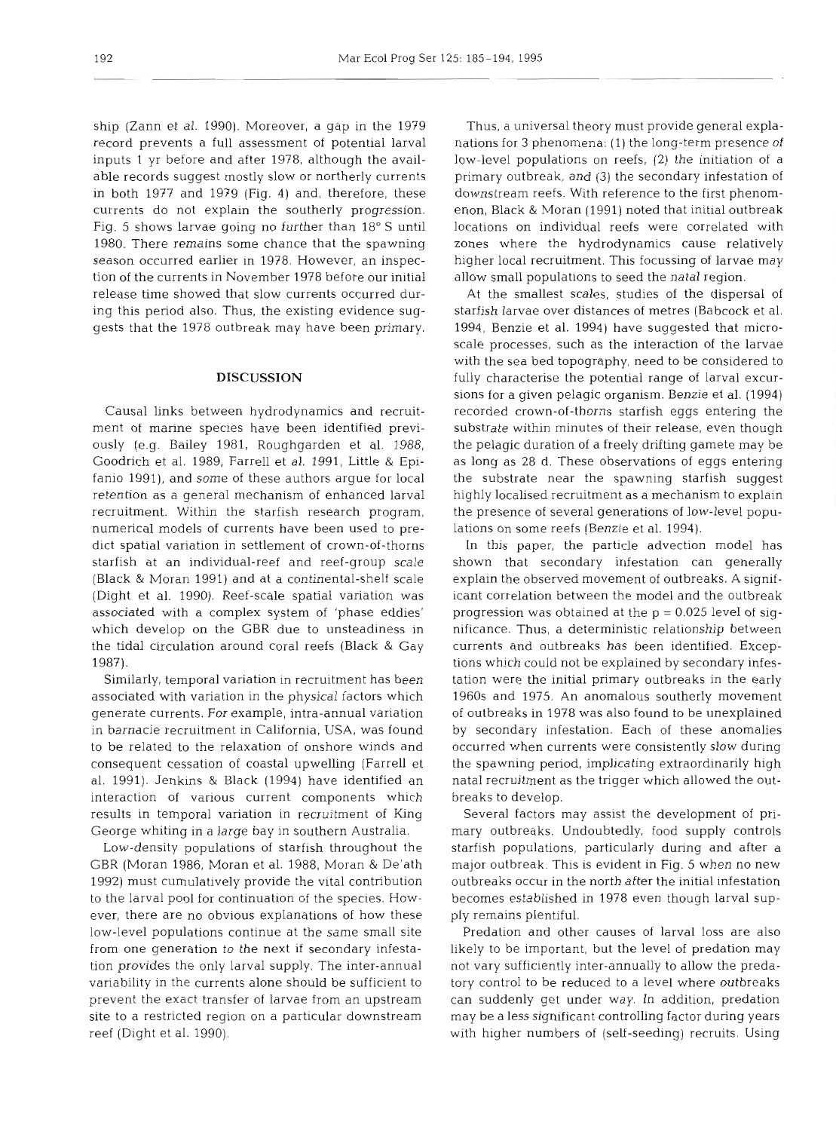ship (Zann et al. 1990). Moreover, a gap in the 1979 record prevents a full assessment of potential larval inputs 1 yr before and after 1978, although the available records suggest mostly slow or northerly currents in both 1977 and 1979 (Fig. 4) and, therefore, these currents do not explain the southerly progression. Fig. 5 shows larvae going no further than 18" S until 1980. There remains some chance that the spawning season occurred earlier in 1978. However, an inspection of the currents in November 1978 before our initial release time showed that slow currents occurred during this period also. Thus, the existing evidence suggests that the 1978 outbreak may have been primary.

## **DISCUSSION**

Causal links between hydrodynamics and recruitment of marine species have been identified previously (e.g. Bailey 1981, Roughgarden et al. 1988, Goodrich et al. 1989, Farrell et al. 1991, Little & Epifanio 1991), and some of these authors argue for local retention as a general mechanism of enhanced larval recruitment. Within the starfish research program, numerical models of currents have been used to predict spatial variation in settlement of crown-of-thorns starfish at an individual-reef and reef-group scale (Black & Moran 1991) and at a continental-shelf scale (Dight et al. 1990). Reef-scale spatial variation was associated with a complex system of 'phase eddies' which develop on the GBR due to unsteadiness in the tidal circulation around coral reefs (Black & Gay 1987).

Similarly, temporal variation in recruitment has been associated with variation in the physical factors which generate currents. For example, intra-annual variation in barnacle recruitment in California, USA, was found to be related to the relaxation of onshore winds and consequent cessation of coastal upwelling (Farrell et al. 1991). Jenkins & Black (1994) have identified an interaction of vanous current components which results in temporal variation in recruitment of King George whiting in a large bay in southern Australia.

Low-density populations of starfish throughout the GBR (Moran 1986, Moran et al. 1988, Moran & De'ath 1992) must cumulatively provide the vital contribution to the larval pool for continuation of the species. However, there are no obvious explanations of how these low-level populations continue at the same small site from one generation to the next if secondary infestation provides the only larval supply. The inter-annual variability in the currents alone should be sufficient to prevent the exact transfer of larvae from an upstream site to a restricted region on a particular downstream reef (Dight et al. 1990).

Thus, a universal theory must provide general explanations for **3** phenomena: (1) the long-term presence of low-level populations on reefs, (2) the initiation of a primary outbreak, and (3) the secondary infestation of downstream reefs. With reference to the first phenomenon, Black & Moran (1991) noted that initial outbreak locations on individual reefs were correlated with zones where the hydrodynamics cause relatively higher local recruitment. This focussing of larvae may allow small populations to seed the natal region.

At the smallest scales, studies of the dispersal of starfish larvae over distances of metres (Babcock et al. 1994, Benzie et al. 1994) have suggested that microscale processes, such as the interaction of the larvae with the sea bed topography, need to be considered to fully characterise the potential range of larval excursions for a given pelagic organism. Benzie et al. (1994) recorded crown-of-thorns starfish eggs entering the substrate within minutes of their release, even though the pelagic duration of a freely drifting gamete may be as long as 28 d. These observations of eggs entering the substrate near the spawning starfish suggest highly localised recruitment as a mechanism to explain the presence of several generations of low-level populations on some reefs (Benzie et al. 1994).

In this paper, the particle advection model has shown that secondary infestation can generally explain the observed movement of outbreaks. A significant correlation between the model and the outbreak progression was obtained at the  $p = 0.025$  level of significance. Thus, a deterministic relationship between currents and outbreaks has been identified. Exceptions which could not be explained by secondary infestation were the initial primary outbreaks in the early 1960s and 1975. An anomalous southerly movement of outbreaks in 1978 was also found to be unexplained by secondary infestation. Each of these anomalies occurred when currents were consistently slow during the spawning period, implicating extraordinarily high natal recruitment as the trigger which allowed the outbreaks to develop.

Several factors may assist the development of primary outbreaks. Undoubtedly, food supply controls starfish populations, particularly during and after a major outbreak. This is evident in Fig. 5 when no new outbreaks occur in the north after the initial infestation becomes established in 1978 even though larval supply remains plentiful.

Predation and other causes of larval loss are also likely to be important, but the level of predation may not vary sufficiently inter-annually to allow the predatory control to be reduced to a level where outbreaks can suddenly get under way. In addition, predation may be a less significant controlling factor during years with higher numbers of (self-seeding) recruits. Using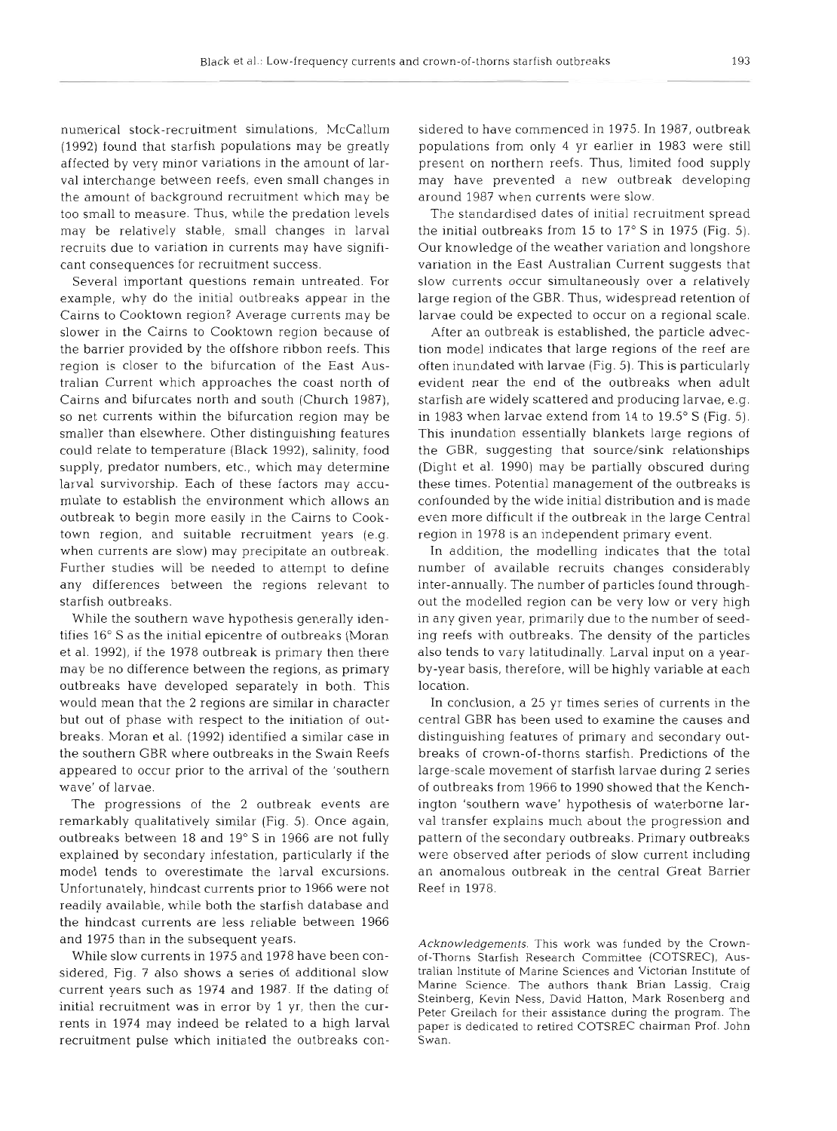numerical stock-recruitment simulations, McCallum (1992) found that starfish populations may be greatly affected by very minor variations in the amount of larval interchange between reefs, even small changes in the amount of background recruitment which may be too small to measure. Thus, while the predation levels may be relatively stable, small changes in larval recruits due to variation in currents may have significant consequences for recruitment success.

Several important questions remain untreated. For example, why do the initial outbreaks appear in the Cairns to Cooktown region? Average currents may be slower in the Cairns to Cooktown region because of the barrier provided by the offshore ribbon reefs. This region is closer to the bifurcation of the East Australian Current which approaches the coast north of Cairns and bifurcates north and south (Church 1987), so net currents within the bifurcation region may be smaller than elsewhere. Other distinguishing features could relate to temperature (Black 1992), salinity, food supply, predator numbers, etc., which may determine larval survivorship. Each of these factors may accumulate to establish the environment which allows an outbreak to begin more easily in the Cairns to Cooktown region, and suitable recruitment years (e.g. when currents are slow) may precipitate an outbreak. Further studies will be needed to attempt to define any differences between the regions relevant to starfish outbreaks.

While the southern wave hypothesis generally identifies 16" S as the initial epicentre of outbreaks (Moran et al. 1992), if the 1978 outbreak is primary then there may be no difference between the regions, as primary outbreaks have developed separately in both. This would mean that the 2 regions are similar in character but out of phase with respect to the initiation of outbreaks. Moran et al. (1992) identified a similar case in the southern GBR where outbreaks in the Swain Reefs appeared to occur prior to the arrival of the 'southern wave' of larvae.

The progressions of the 2 outbreak events are remarkably qualitatively similar (Fig. 5). Once again, outbreaks between 18 and 19" S in 1966 are not fully explained by secondary infestation, particularly if the model tends to overestimate the larval excursions. Unfortunately, hindcast currents prior to 1966 were not readily available, while both the starfish database and the hindcast currents are less reliable between 1966 and 1975 than in the subsequent years.

While slow currents in 1975 and 1978 have been considered, Fig. 7 also shows a series of additional slow current years such as 1974 and 1987. If the dating of initial recruitment was in error by 1 yr, then the currents in 1974 may indeed be related to a high larval recruitment pulse which initiated the outbreaks con-

sidered to have commenced in 1995. In 1995, that we commenced in the commence of the present on nothler net present may have presented a new outbreak deelouging the main and the main between the main of the standardied da